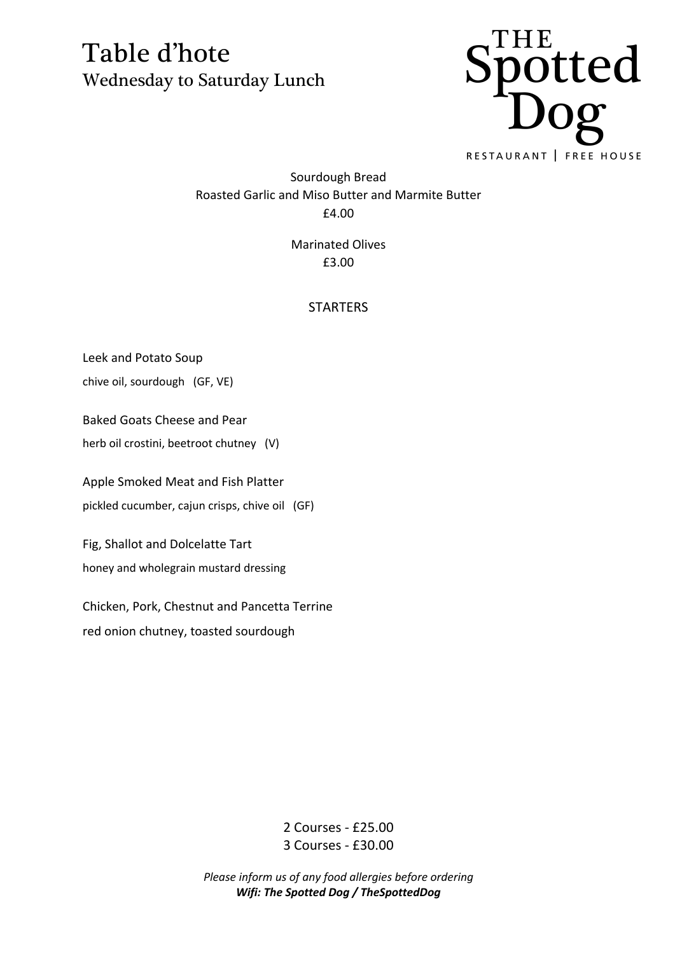

Sourdough Bread Roasted Garlic and Miso Butter and Marmite Butter £4.00

> Marinated Olives £3.00

#### **STARTERS**

Leek and Potato Soup

chive oil, sourdough (GF, VE)

Baked Goats Cheese and Pear

herb oil crostini, beetroot chutney (V)

Apple Smoked Meat and Fish Platter

pickled cucumber, cajun crisps, chive oil (GF)

Fig, Shallot and Dolcelatte Tart

honey and wholegrain mustard dressing

Chicken, Pork, Chestnut and Pancetta Terrine red onion chutney, toasted sourdough

> 2 Courses - £25.00 3 Courses - £30.00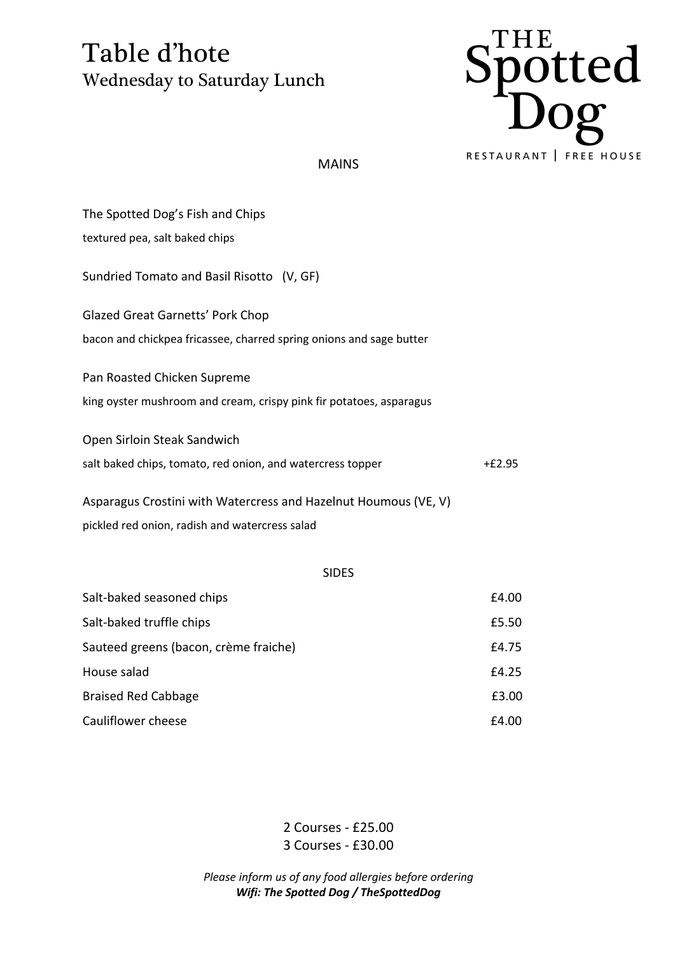

MAINS

| The Spotted Dog's Fish and Chips                                    |          |
|---------------------------------------------------------------------|----------|
| textured pea, salt baked chips                                      |          |
| Sundried Tomato and Basil Risotto (V, GF)                           |          |
| <b>Glazed Great Garnetts' Pork Chop</b>                             |          |
| bacon and chickpea fricassee, charred spring onions and sage butter |          |
| Pan Roasted Chicken Supreme                                         |          |
| king oyster mushroom and cream, crispy pink fir potatoes, asparagus |          |
| Open Sirloin Steak Sandwich                                         |          |
| salt baked chips, tomato, red onion, and watercress topper          | $+£2.95$ |
| Asparagus Crostini with Watercress and Hazelnut Houmous (VE, V)     |          |
| pickled red onion, radish and watercress salad                      |          |
| <b>SIDES</b>                                                        |          |
| Salt-baked seasoned chips                                           | £4.00    |
| Salt-baked truffle chips                                            | £5.50    |
| Sauteed greens (bacon, crème fraiche)                               | £4.75    |
| House salad                                                         | £4.25    |

Braised Red Cabbage **E3.00** 

Cauliflower cheese E4.00

2 Courses - £25.00 3 Courses - £30.00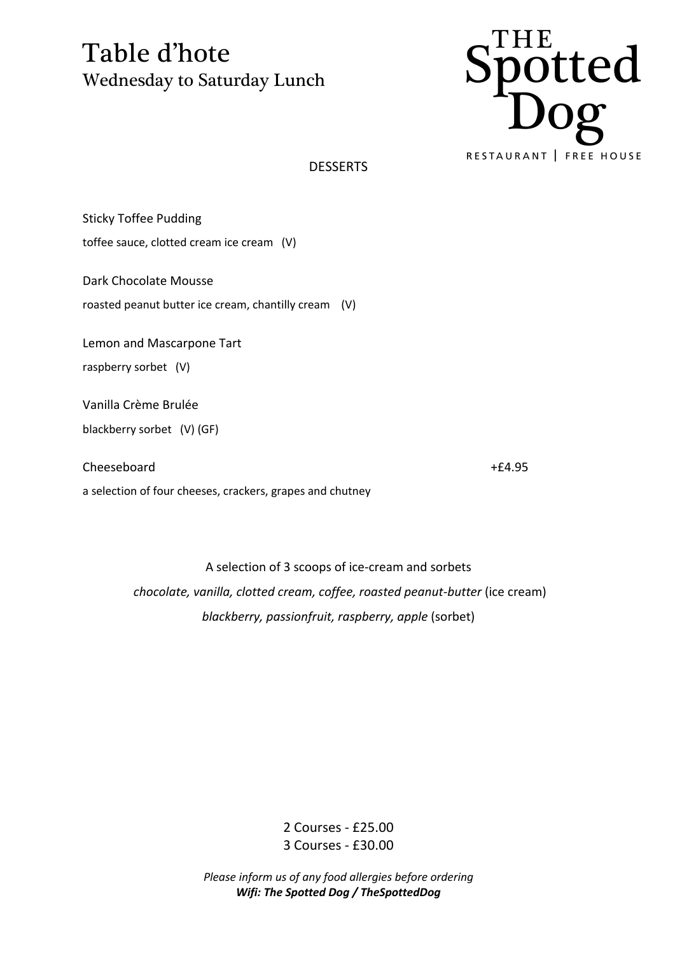

**DESSERTS** 

Sticky Toffee Pudding toffee sauce, clotted cream ice cream (V)

Dark Chocolate Mousse

roasted peanut butter ice cream, chantilly cream (V)

Lemon and Mascarpone Tart

raspberry sorbet (V)

Vanilla Crème Brulée

blackberry sorbet (V) (GF)

Cheeseboard +£4.95

a selection of four cheeses, crackers, grapes and chutney

A selection of 3 scoops of ice-cream and sorbets *chocolate, vanilla, clotted cream, coffee, roasted peanut-butter* (ice cream) *blackberry, passionfruit, raspberry, apple* (sorbet)

> 2 Courses - £25.00 3 Courses - £30.00